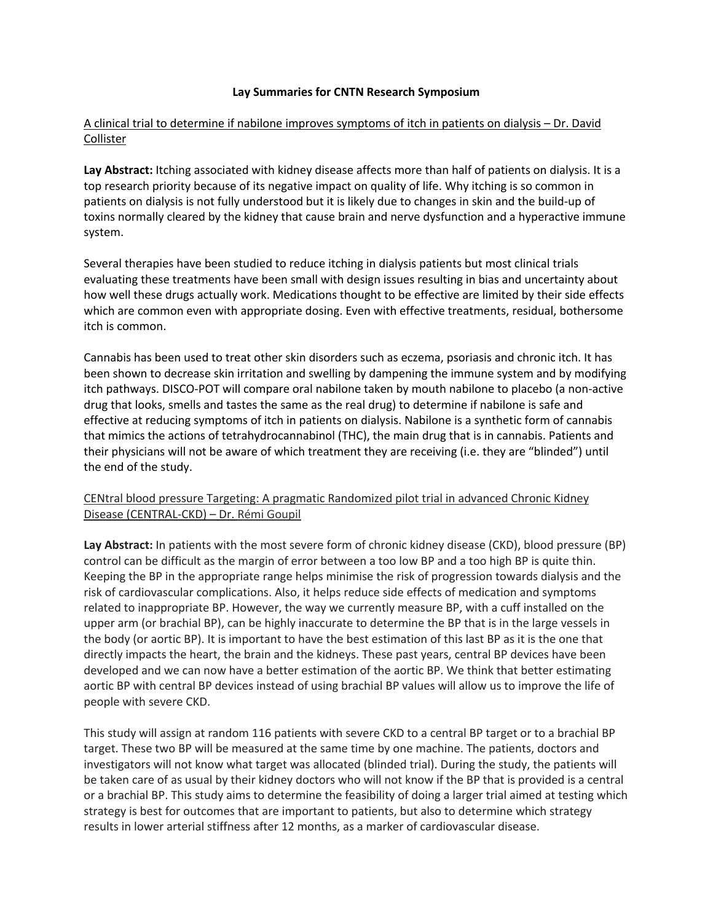## **Lay Summaries for CNTN Research Symposium**

## A clinical trial to determine if nabilone improves symptoms of itch in patients on dialysis – Dr. David Collister

**Lay Abstract:** Itching associated with kidney disease affects more than half of patients on dialysis. It is a top research priority because of its negative impact on quality of life. Why itching is so common in patients on dialysis is not fully understood but it is likely due to changes in skin and the build-up of toxins normally cleared by the kidney that cause brain and nerve dysfunction and a hyperactive immune system.

Several therapies have been studied to reduce itching in dialysis patients but most clinical trials evaluating these treatments have been small with design issues resulting in bias and uncertainty about how well these drugs actually work. Medications thought to be effective are limited by their side effects which are common even with appropriate dosing. Even with effective treatments, residual, bothersome itch is common.

Cannabis has been used to treat other skin disorders such as eczema, psoriasis and chronic itch. It has been shown to decrease skin irritation and swelling by dampening the immune system and by modifying itch pathways. DISCO-POT will compare oral nabilone taken by mouth nabilone to placebo (a non-active drug that looks, smells and tastes the same as the real drug) to determine if nabilone is safe and effective at reducing symptoms of itch in patients on dialysis. Nabilone is a synthetic form of cannabis that mimics the actions of tetrahydrocannabinol (THC), the main drug that is in cannabis. Patients and their physicians will not be aware of which treatment they are receiving (i.e. they are "blinded") until the end of the study.

CENtral blood pressure Targeting: A pragmatic Randomized pilot trial in advanced Chronic Kidney Disease (CENTRAL-CKD) – Dr. Rémi Goupil

**Lay Abstract:** In patients with the most severe form of chronic kidney disease (CKD), blood pressure (BP) control can be difficult as the margin of error between a too low BP and a too high BP is quite thin. Keeping the BP in the appropriate range helps minimise the risk of progression towards dialysis and the risk of cardiovascular complications. Also, it helps reduce side effects of medication and symptoms related to inappropriate BP. However, the way we currently measure BP, with a cuff installed on the upper arm (or brachial BP), can be highly inaccurate to determine the BP that is in the large vessels in the body (or aortic BP). It is important to have the best estimation of this last BP as it is the one that directly impacts the heart, the brain and the kidneys. These past years, central BP devices have been developed and we can now have a better estimation of the aortic BP. We think that better estimating aortic BP with central BP devices instead of using brachial BP values will allow us to improve the life of people with severe CKD.

This study will assign at random 116 patients with severe CKD to a central BP target or to a brachial BP target. These two BP will be measured at the same time by one machine. The patients, doctors and investigators will not know what target was allocated (blinded trial). During the study, the patients will be taken care of as usual by their kidney doctors who will not know if the BP that is provided is a central or a brachial BP. This study aims to determine the feasibility of doing a larger trial aimed at testing which strategy is best for outcomes that are important to patients, but also to determine which strategy results in lower arterial stiffness after 12 months, as a marker of cardiovascular disease.